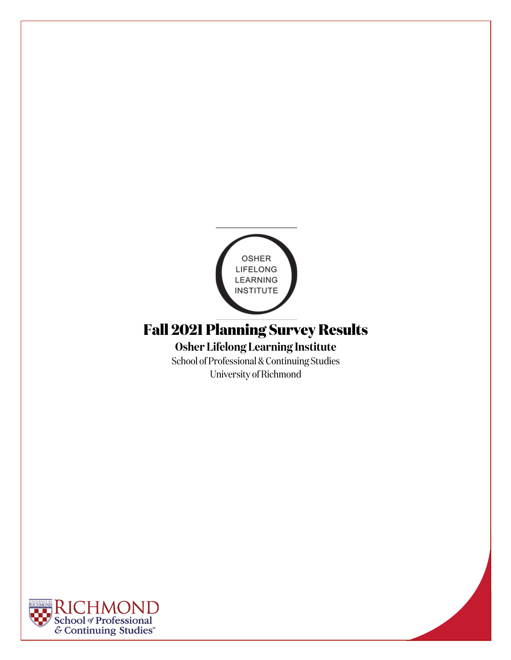

# **Fall 2021 Planning Survey Results**

**Osher Lifelong Learning Institute** School of Professional & Continuing Studies

University of Richmond

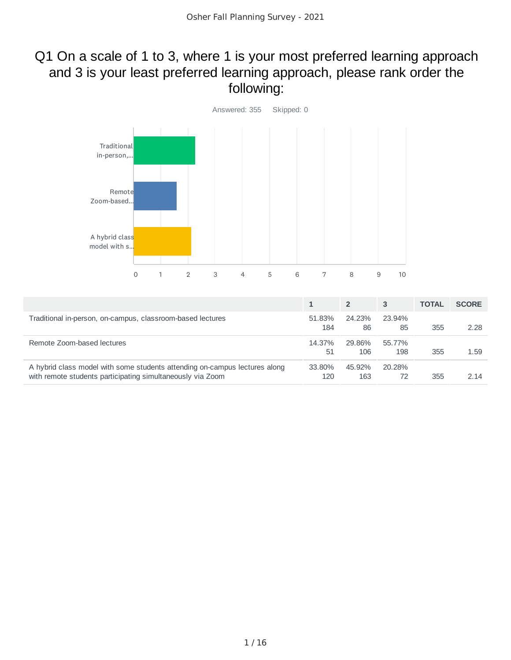# Q1 On a scale of 1 to 3, where 1 is your most preferred learning approach and 3 is your least preferred learning approach, please rank order the following:



|                                                                                                                                          |               | 2             | 3             | <b>TOTAL</b> | <b>SCORE</b> |
|------------------------------------------------------------------------------------------------------------------------------------------|---------------|---------------|---------------|--------------|--------------|
| Traditional in-person, on-campus, classroom-based lectures                                                                               | 51.83%<br>184 | 24.23%<br>86  | 23.94%<br>85  | 355          | 2.28         |
| Remote Zoom-based lectures                                                                                                               | 14.37%<br>51  | 29.86%<br>106 | 55.77%<br>198 | 355          | 1.59         |
| A hybrid class model with some students attending on-campus lectures along<br>with remote students participating simultaneously via Zoom | 33.80%<br>120 | 45.92%<br>163 | 20.28%<br>72  | 355          | 2 14         |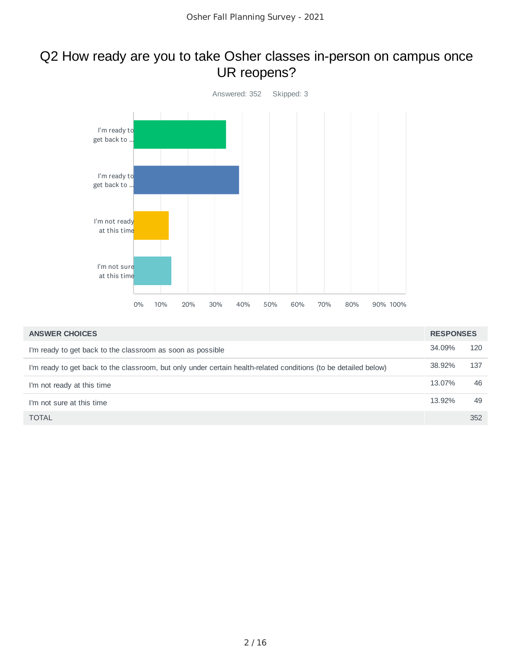## Q2 How ready are you to take Osher classes in-person on campus once UR reopens?



| <b>ANSWER CHOICES</b>                                                                                           | <b>RESPONSES</b> |     |
|-----------------------------------------------------------------------------------------------------------------|------------------|-----|
| I'm ready to get back to the classroom as soon as possible                                                      | 34.09%           | 120 |
| I'm ready to get back to the classroom, but only under certain health-related conditions (to be detailed below) | 38.92%           | 137 |
| I'm not ready at this time                                                                                      | 13.07%           | 46  |
| I'm not sure at this time                                                                                       | 13.92%           | 49  |
| <b>TOTAL</b>                                                                                                    |                  | 352 |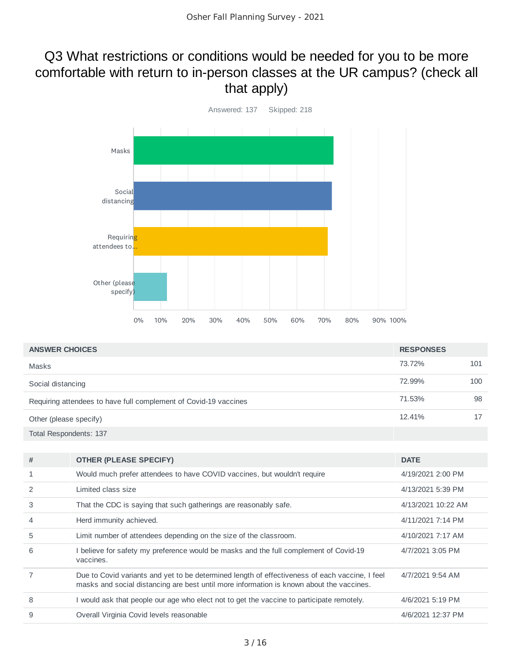# Q3 What restrictions or conditions would be needed for you to be more comfortable with return to in-person classes at the UR campus? (check all that apply)



| <b>ANSWER CHOICES</b>                                            | <b>RESPONSES</b> |     |
|------------------------------------------------------------------|------------------|-----|
| Masks                                                            | 73.72%           | 101 |
| Social distancing                                                | 72.99%           | 100 |
| Requiring attendees to have full complement of Covid-19 vaccines | 71.53%           | 98  |
| Other (please specify)                                           | 12.41%           | 17  |
| Total Respondents: 137                                           |                  |     |

| # | <b>OTHER (PLEASE SPECIFY)</b>                                                                                                                                                              | <b>DATE</b>        |
|---|--------------------------------------------------------------------------------------------------------------------------------------------------------------------------------------------|--------------------|
|   | Would much prefer attendees to have COVID vaccines, but wouldn't require                                                                                                                   | 4/19/2021 2:00 PM  |
| 2 | Limited class size                                                                                                                                                                         | 4/13/2021 5:39 PM  |
| 3 | That the CDC is saying that such gatherings are reasonably safe.                                                                                                                           | 4/13/2021 10:22 AM |
| 4 | Herd immunity achieved.                                                                                                                                                                    | 4/11/2021 7:14 PM  |
| 5 | Limit number of attendees depending on the size of the classroom.                                                                                                                          | 4/10/2021 7:17 AM  |
| 6 | I believe for safety my preference would be masks and the full complement of Covid-19<br>vaccines.                                                                                         | 4/7/2021 3:05 PM   |
| 7 | Due to Covid variants and yet to be determined length of effectiveness of each vaccine, I feel<br>masks and social distancing are best until more information is known about the vaccines. | 4/7/2021 9:54 AM   |
| 8 | I would ask that people our age who elect not to get the vaccine to participate remotely.                                                                                                  | 4/6/2021 5:19 PM   |
| 9 | Overall Virginia Covid levels reasonable                                                                                                                                                   | 4/6/2021 12:37 PM  |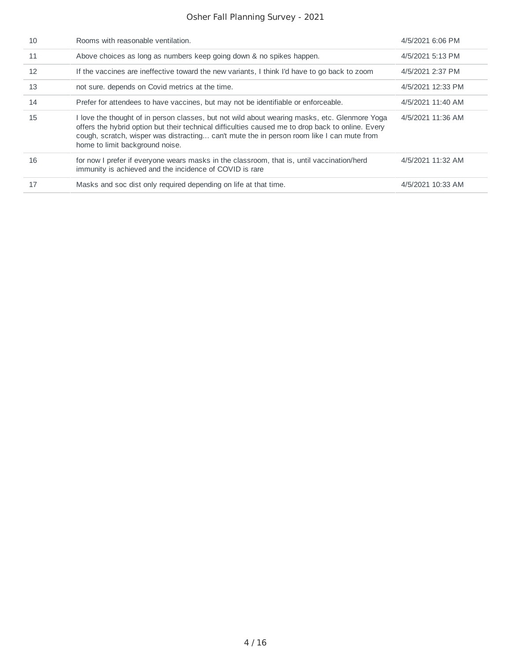| 10 | Rooms with reasonable ventilation.                                                                                                                                                                                                                                                                                                 | 4/5/2021 6:06 PM  |
|----|------------------------------------------------------------------------------------------------------------------------------------------------------------------------------------------------------------------------------------------------------------------------------------------------------------------------------------|-------------------|
| 11 | Above choices as long as numbers keep going down & no spikes happen.                                                                                                                                                                                                                                                               | 4/5/2021 5:13 PM  |
| 12 | If the vaccines are ineffective toward the new variants. I think I'd have to go back to zoom                                                                                                                                                                                                                                       | 4/5/2021 2:37 PM  |
| 13 | not sure, depends on Covid metrics at the time.                                                                                                                                                                                                                                                                                    | 4/5/2021 12:33 PM |
| 14 | Prefer for attendees to have vaccines, but may not be identifiable or enforceable.                                                                                                                                                                                                                                                 | 4/5/2021 11:40 AM |
| 15 | I love the thought of in person classes, but not wild about wearing masks, etc. Glenmore Yoga<br>offers the hybrid option but their technical difficulties caused me to drop back to online. Every<br>cough, scratch, wisper was distracting can't mute the in person room like I can mute from<br>home to limit background noise. | 4/5/2021 11:36 AM |
| 16 | for now I prefer if everyone wears masks in the classroom, that is, until vaccination/herd<br>immunity is achieved and the incidence of COVID is rare                                                                                                                                                                              | 4/5/2021 11:32 AM |
| 17 | Masks and soc dist only required depending on life at that time.                                                                                                                                                                                                                                                                   | 4/5/2021 10:33 AM |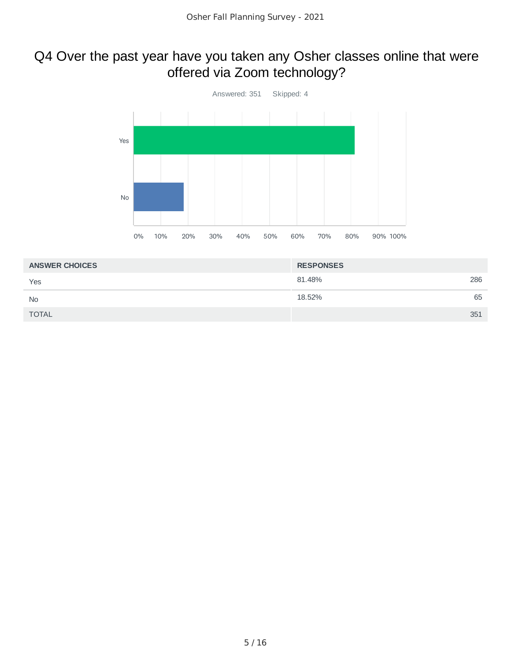# Q4 Over the past year have you taken any Osher classes online that were offered via Zoom technology?



| <b>ANSWER CHOICES</b> | <b>RESPONSES</b> |     |
|-----------------------|------------------|-----|
| Yes                   | 81.48%           | 286 |
| <b>No</b>             | 18.52%           | 65  |
| <b>TOTAL</b>          | 351              |     |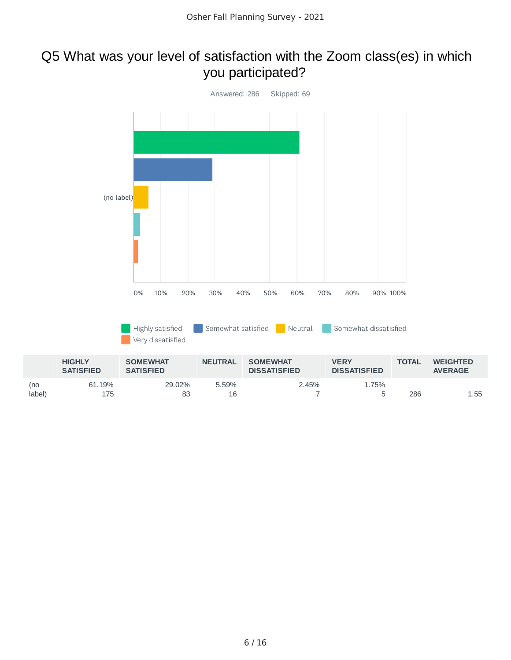## Q5 What was your level of satisfaction with the Zoom class(es) in which you participated?

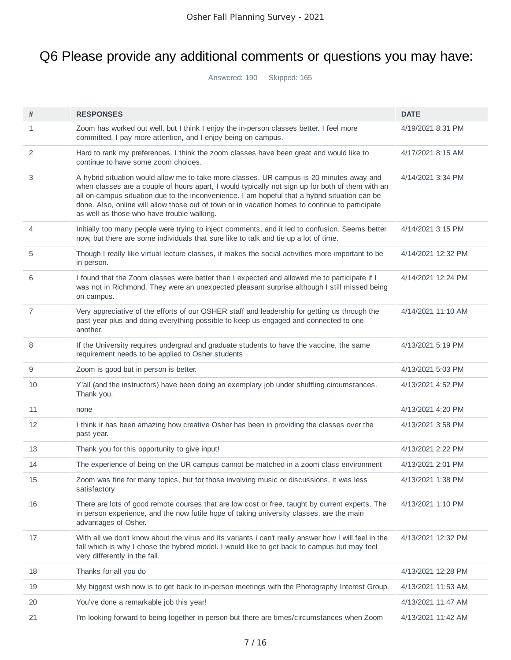# Q6 Please provide any additional comments or questions you may have:

Answered: 190 Skipped: 165

| #              | <b>RESPONSES</b>                                                                                                                                                                                                                                                                                                                                                                                                                               | <b>DATE</b>        |
|----------------|------------------------------------------------------------------------------------------------------------------------------------------------------------------------------------------------------------------------------------------------------------------------------------------------------------------------------------------------------------------------------------------------------------------------------------------------|--------------------|
| 1              | Zoom has worked out well, but I think I enjoy the in-person classes better. I feel more<br>committed, I pay more attention, and I enjoy being on campus.                                                                                                                                                                                                                                                                                       | 4/19/2021 8:31 PM  |
| 2              | Hard to rank my preferences. I think the zoom classes have been great and would like to<br>continue to have some zoom choices.                                                                                                                                                                                                                                                                                                                 | 4/17/2021 8:15 AM  |
| 3              | A hybrid situation would allow me to take more classes. UR campus is 20 minutes away and<br>when classes are a couple of hours apart, I would typically not sign up for both of them with an<br>all on-campus situation due to the inconvenience. I am hopeful that a hybrid situation can be<br>done. Also, online will allow those out of town or in vacation homes to continue to participate<br>as well as those who have trouble walking. | 4/14/2021 3:34 PM  |
| $\overline{4}$ | Initially too many people were trying to inject comments, and it led to confusion. Seems better<br>now, but there are some individuals that sure like to talk and tie up a lot of time.                                                                                                                                                                                                                                                        | 4/14/2021 3:15 PM  |
| 5              | Though I really like virtual lecture classes, it makes the social activities more important to be<br>in person.                                                                                                                                                                                                                                                                                                                                | 4/14/2021 12:32 PM |
| 6              | I found that the Zoom classes were better than I expected and allowed me to participate if I<br>was not in Richmond. They were an unexpected pleasant surprise although I still missed being<br>on campus.                                                                                                                                                                                                                                     | 4/14/2021 12:24 PM |
| 7              | Very appreciative of the efforts of our OSHER staff and leadership for getting us through the<br>past year plus and doing everything possible to keep us engaged and connected to one<br>another.                                                                                                                                                                                                                                              | 4/14/2021 11:10 AM |
| 8              | If the University requires undergrad and graduate students to have the vaccine, the same<br>requirement needs to be applied to Osher students                                                                                                                                                                                                                                                                                                  | 4/13/2021 5:19 PM  |
| 9              | Zoom is good but in person is better.                                                                                                                                                                                                                                                                                                                                                                                                          | 4/13/2021 5:03 PM  |
| 10             | Y'all (and the instructors) have been doing an exemplary job under shuffling circumstances.<br>Thank you.                                                                                                                                                                                                                                                                                                                                      | 4/13/2021 4:52 PM  |
| 11             | none                                                                                                                                                                                                                                                                                                                                                                                                                                           | 4/13/2021 4:20 PM  |
| 12             | I think it has been amazing how creative Osher has been in providing the classes over the<br>past year.                                                                                                                                                                                                                                                                                                                                        | 4/13/2021 3:58 PM  |
| 13             | Thank you for this opportunity to give input!                                                                                                                                                                                                                                                                                                                                                                                                  | 4/13/2021 2:22 PM  |
| 14             | The experience of being on the UR campus cannot be matched in a zoom class environment                                                                                                                                                                                                                                                                                                                                                         | 4/13/2021 2:01 PM  |
| 15             | Zoom was fine for many topics, but for those involving music or discussions, it was less<br>satisfactory                                                                                                                                                                                                                                                                                                                                       | 4/13/2021 1:38 PM  |
| 16             | There are lots of good remote courses that are low cost or free, taught by current experts. The<br>in person experience, and the now futile hope of taking university classes, are the main<br>advantages of Osher.                                                                                                                                                                                                                            | 4/13/2021 1:10 PM  |
| 17             | With all we don't know about the virus and its variants i can't really answer how I will feel in the<br>fall which is why I chose the hybred model. I would like to get back to campus but may feel<br>very differently in the fall.                                                                                                                                                                                                           | 4/13/2021 12:32 PM |
| 18             | Thanks for all you do                                                                                                                                                                                                                                                                                                                                                                                                                          | 4/13/2021 12:28 PM |
| 19             | My biggest wish now is to get back to in-person meetings with the Photography Interest Group.                                                                                                                                                                                                                                                                                                                                                  | 4/13/2021 11:53 AM |
| 20             | You've done a remarkable job this year!                                                                                                                                                                                                                                                                                                                                                                                                        | 4/13/2021 11:47 AM |
|                |                                                                                                                                                                                                                                                                                                                                                                                                                                                |                    |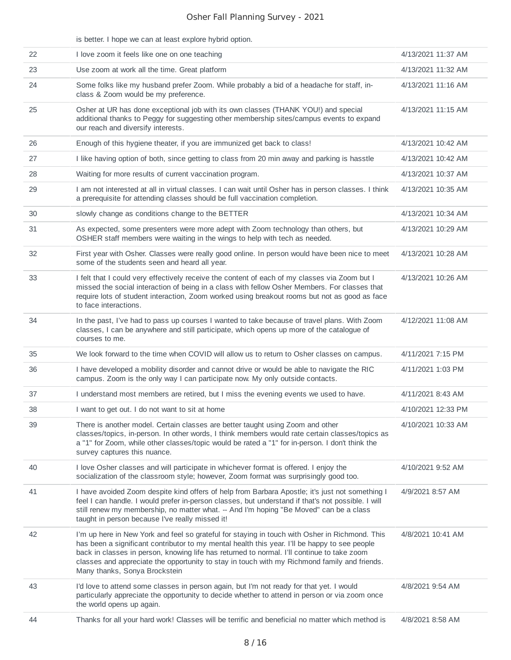|    | is better. I hope we can at least explore hybrid option.                                                                                                                                                                                                                                                                                                                                                                       |                    |
|----|--------------------------------------------------------------------------------------------------------------------------------------------------------------------------------------------------------------------------------------------------------------------------------------------------------------------------------------------------------------------------------------------------------------------------------|--------------------|
| 22 | I love zoom it feels like one on one teaching                                                                                                                                                                                                                                                                                                                                                                                  | 4/13/2021 11:37 AM |
| 23 | Use zoom at work all the time. Great platform                                                                                                                                                                                                                                                                                                                                                                                  | 4/13/2021 11:32 AM |
| 24 | Some folks like my husband prefer Zoom. While probably a bid of a headache for staff, in-<br>class & Zoom would be my preference.                                                                                                                                                                                                                                                                                              | 4/13/2021 11:16 AM |
| 25 | Osher at UR has done exceptional job with its own classes (THANK YOU!) and special<br>additional thanks to Peggy for suggesting other membership sites/campus events to expand<br>our reach and diversify interests.                                                                                                                                                                                                           | 4/13/2021 11:15 AM |
| 26 | Enough of this hygiene theater, if you are immunized get back to class!                                                                                                                                                                                                                                                                                                                                                        | 4/13/2021 10:42 AM |
| 27 | I like having option of both, since getting to class from 20 min away and parking is hasstle                                                                                                                                                                                                                                                                                                                                   | 4/13/2021 10:42 AM |
| 28 | Waiting for more results of current vaccination program.                                                                                                                                                                                                                                                                                                                                                                       | 4/13/2021 10:37 AM |
| 29 | I am not interested at all in virtual classes. I can wait until Osher has in person classes. I think<br>a prerequisite for attending classes should be full vaccination completion.                                                                                                                                                                                                                                            | 4/13/2021 10:35 AM |
| 30 | slowly change as conditions change to the BETTER                                                                                                                                                                                                                                                                                                                                                                               | 4/13/2021 10:34 AM |
| 31 | As expected, some presenters were more adept with Zoom technology than others, but<br>OSHER staff members were waiting in the wings to help with tech as needed.                                                                                                                                                                                                                                                               | 4/13/2021 10:29 AM |
| 32 | First year with Osher. Classes were really good online. In person would have been nice to meet<br>some of the students seen and heard all year.                                                                                                                                                                                                                                                                                | 4/13/2021 10:28 AM |
| 33 | I felt that I could very effectively receive the content of each of my classes via Zoom but I<br>missed the social interaction of being in a class with fellow Osher Members. For classes that<br>require lots of student interaction, Zoom worked using breakout rooms but not as good as face<br>to face interactions.                                                                                                       | 4/13/2021 10:26 AM |
| 34 | In the past, I've had to pass up courses I wanted to take because of travel plans. With Zoom<br>classes, I can be anywhere and still participate, which opens up more of the catalogue of<br>courses to me.                                                                                                                                                                                                                    | 4/12/2021 11:08 AM |
| 35 | We look forward to the time when COVID will allow us to return to Osher classes on campus.                                                                                                                                                                                                                                                                                                                                     | 4/11/2021 7:15 PM  |
| 36 | I have developed a mobility disorder and cannot drive or would be able to navigate the RIC<br>campus. Zoom is the only way I can participate now. My only outside contacts.                                                                                                                                                                                                                                                    | 4/11/2021 1:03 PM  |
| 37 | I understand most members are retired, but I miss the evening events we used to have.                                                                                                                                                                                                                                                                                                                                          | 4/11/2021 8:43 AM  |
| 38 | I want to get out. I do not want to sit at home                                                                                                                                                                                                                                                                                                                                                                                | 4/10/2021 12:33 PM |
| 39 | There is another model. Certain classes are better taught using Zoom and other<br>classes/topics, in-person. In other words, I think members would rate certain classes/topics as<br>a "1" for Zoom, while other classes/topic would be rated a "1" for in-person. I don't think the<br>survey captures this nuance.                                                                                                           | 4/10/2021 10:33 AM |
| 40 | I love Osher classes and will participate in whichever format is offered. I enjoy the<br>socialization of the classroom style; however, Zoom format was surprisingly good too.                                                                                                                                                                                                                                                 | 4/10/2021 9:52 AM  |
| 41 | I have avoided Zoom despite kind offers of help from Barbara Apostle; it's just not something I<br>feel I can handle. I would prefer in-person classes, but understand if that's not possible. I will<br>still renew my membership, no matter what. -- And I'm hoping "Be Moved" can be a class<br>taught in person because I've really missed it!                                                                             | 4/9/2021 8:57 AM   |
| 42 | I'm up here in New York and feel so grateful for staying in touch with Osher in Richmond. This<br>has been a significant contributor to my mental health this year. I'll be happy to see people<br>back in classes in person, knowing life has returned to normal. I'll continue to take zoom<br>classes and appreciate the opportunity to stay in touch with my Richmond family and friends.<br>Many thanks, Sonya Brockstein | 4/8/2021 10:41 AM  |
| 43 | I'd love to attend some classes in person again, but I'm not ready for that yet. I would<br>particularly appreciate the opportunity to decide whether to attend in person or via zoom once<br>the world opens up again.                                                                                                                                                                                                        | 4/8/2021 9:54 AM   |
| 44 | Thanks for all your hard work! Classes will be terrific and beneficial no matter which method is                                                                                                                                                                                                                                                                                                                               | 4/8/2021 8:58 AM   |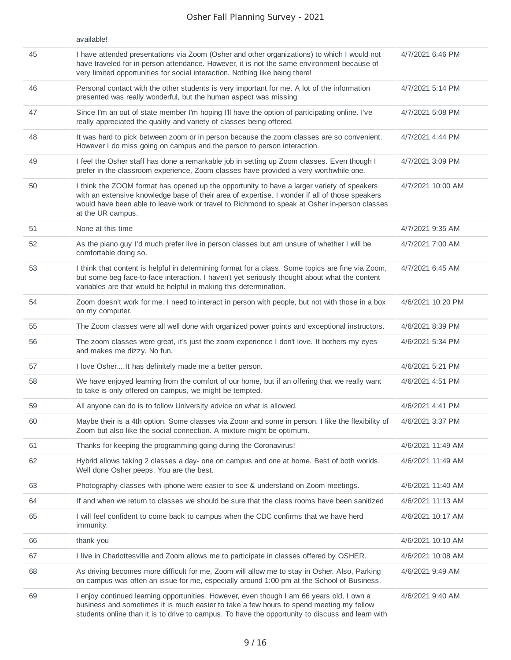|    | available!                                                                                                                                                                                                                                                                                                        |                   |
|----|-------------------------------------------------------------------------------------------------------------------------------------------------------------------------------------------------------------------------------------------------------------------------------------------------------------------|-------------------|
| 45 | I have attended presentations via Zoom (Osher and other organizations) to which I would not<br>have traveled for in-person attendance. However, it is not the same environment because of<br>very limited opportunities for social interaction. Nothing like being there!                                         | 4/7/2021 6:46 PM  |
| 46 | Personal contact with the other students is very important for me. A lot of the information<br>presented was really wonderful, but the human aspect was missing                                                                                                                                                   | 4/7/2021 5:14 PM  |
| 47 | Since I'm an out of state member I'm hoping I'll have the option of participating online. I've<br>really appreciated the quality and variety of classes being offered.                                                                                                                                            | 4/7/2021 5:08 PM  |
| 48 | It was hard to pick between zoom or in person because the zoom classes are so convenient.<br>However I do miss going on campus and the person to person interaction.                                                                                                                                              | 4/7/2021 4:44 PM  |
| 49 | I feel the Osher staff has done a remarkable job in setting up Zoom classes. Even though I<br>prefer in the classroom experience, Zoom classes have provided a very worthwhile one.                                                                                                                               | 4/7/2021 3:09 PM  |
| 50 | I think the ZOOM format has opened up the opportunity to have a larger variety of speakers<br>with an extensive knowledge base of their area of expertise. I wonder if all of those speakers<br>would have been able to leave work or travel to Richmond to speak at Osher in-person classes<br>at the UR campus. | 4/7/2021 10:00 AM |
| 51 | None at this time                                                                                                                                                                                                                                                                                                 | 4/7/2021 9:35 AM  |
| 52 | As the piano guy I'd much prefer live in person classes but am unsure of whether I will be<br>comfortable doing so.                                                                                                                                                                                               | 4/7/2021 7:00 AM  |
| 53 | I think that content is helpful in determining format for a class. Some topics are fine via Zoom,<br>but some beg face-to-face interaction. I haven't yet seriously thought about what the content<br>variables are that would be helpful in making this determination.                                           | 4/7/2021 6:45 AM  |
| 54 | Zoom doesn't work for me. I need to interact in person with people, but not with those in a box<br>on my computer.                                                                                                                                                                                                | 4/6/2021 10:20 PM |
| 55 | The Zoom classes were all well done with organized power points and exceptional instructors.                                                                                                                                                                                                                      | 4/6/2021 8:39 PM  |
| 56 | The zoom classes were great, it's just the zoom experience I don't love. It bothers my eyes<br>and makes me dizzy. No fun.                                                                                                                                                                                        | 4/6/2021 5:34 PM  |
| 57 | I love OsherIt has definitely made me a better person.                                                                                                                                                                                                                                                            | 4/6/2021 5:21 PM  |
| 58 | We have enjoyed learning from the comfort of our home, but if an offering that we really want<br>to take is only offered on campus, we might be tempted.                                                                                                                                                          | 4/6/2021 4:51 PM  |
| 59 | All anyone can do is to follow University advice on what is allowed.                                                                                                                                                                                                                                              | 4/6/2021 4:41 PM  |
| 60 | Maybe their is a 4th option. Some classes via Zoom and some in person. I like the flexibility of<br>Zoom but also like the social connection. A mixture might be optimum.                                                                                                                                         | 4/6/2021 3:37 PM  |
| 61 | Thanks for keeping the programming going during the Coronavirus!                                                                                                                                                                                                                                                  | 4/6/2021 11:49 AM |
| 62 | Hybrid allows taking 2 classes a day- one on campus and one at home. Best of both worlds.<br>Well done Osher peeps. You are the best.                                                                                                                                                                             | 4/6/2021 11:49 AM |
| 63 | Photography classes with iphone were easier to see & understand on Zoom meetings.                                                                                                                                                                                                                                 | 4/6/2021 11:40 AM |
| 64 | If and when we return to classes we should be sure that the class rooms have been sanitized                                                                                                                                                                                                                       | 4/6/2021 11:13 AM |
| 65 | I will feel confident to come back to campus when the CDC confirms that we have herd<br>immunity.                                                                                                                                                                                                                 | 4/6/2021 10:17 AM |
| 66 | thank you                                                                                                                                                                                                                                                                                                         | 4/6/2021 10:10 AM |
| 67 | I live in Charlottesville and Zoom allows me to participate in classes offered by OSHER.                                                                                                                                                                                                                          | 4/6/2021 10:08 AM |
| 68 | As driving becomes more difficult for me, Zoom will allow me to stay in Osher. Also, Parking<br>on campus was often an issue for me, especially around 1:00 pm at the School of Business.                                                                                                                         | 4/6/2021 9:49 AM  |
| 69 | I enjoy continued learning opportunities. However, even though I am 66 years old, I own a<br>business and sometimes it is much easier to take a few hours to spend meeting my fellow<br>students online than it is to drive to campus. To have the opportunity to discuss and learn with                          | 4/6/2021 9:40 AM  |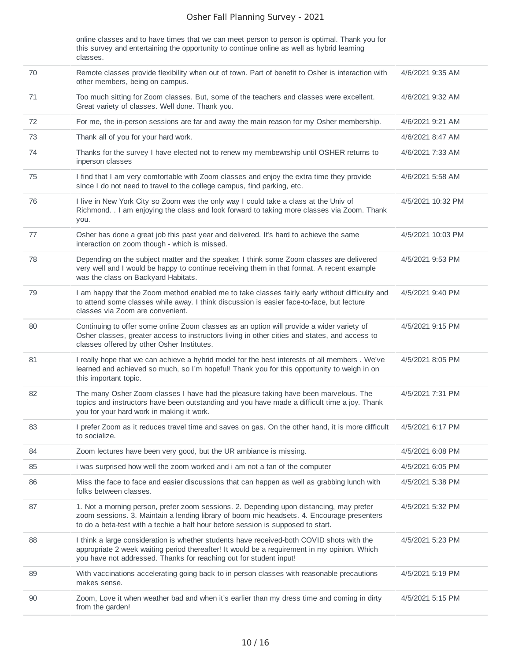online classes and to have times that we can meet person to person is optimal. Thank you for this survey and entertaining the opportunity to continue online as well as hybrid learning classes.

| 70 | Remote classes provide flexibility when out of town. Part of benefit to Osher is interaction with<br>other members, being on campus.                                                                                                                                      | 4/6/2021 9:35 AM  |
|----|---------------------------------------------------------------------------------------------------------------------------------------------------------------------------------------------------------------------------------------------------------------------------|-------------------|
| 71 | Too much sitting for Zoom classes. But, some of the teachers and classes were excellent.<br>Great variety of classes. Well done. Thank you.                                                                                                                               | 4/6/2021 9:32 AM  |
| 72 | For me, the in-person sessions are far and away the main reason for my Osher membership.                                                                                                                                                                                  | 4/6/2021 9:21 AM  |
| 73 | Thank all of you for your hard work.                                                                                                                                                                                                                                      | 4/6/2021 8:47 AM  |
| 74 | Thanks for the survey I have elected not to renew my membewrship until OSHER returns to<br>inperson classes                                                                                                                                                               | 4/6/2021 7:33 AM  |
| 75 | I find that I am very comfortable with Zoom classes and enjoy the extra time they provide<br>since I do not need to travel to the college campus, find parking, etc.                                                                                                      | 4/6/2021 5:58 AM  |
| 76 | I live in New York City so Zoom was the only way I could take a class at the Univ of<br>Richmond. . I am enjoying the class and look forward to taking more classes via Zoom. Thank<br>you.                                                                               | 4/5/2021 10:32 PM |
| 77 | Osher has done a great job this past year and delivered. It's hard to achieve the same<br>interaction on zoom though - which is missed.                                                                                                                                   | 4/5/2021 10:03 PM |
| 78 | Depending on the subject matter and the speaker, I think some Zoom classes are delivered<br>very well and I would be happy to continue receiving them in that format. A recent example<br>was the class on Backyard Habitats.                                             | 4/5/2021 9:53 PM  |
| 79 | I am happy that the Zoom method enabled me to take classes fairly early without difficulty and<br>to attend some classes while away. I think discussion is easier face-to-face, but lecture<br>classes via Zoom are convenient.                                           | 4/5/2021 9:40 PM  |
| 80 | Continuing to offer some online Zoom classes as an option will provide a wider variety of<br>Osher classes, greater access to instructors living in other cities and states, and access to<br>classes offered by other Osher Institutes.                                  | 4/5/2021 9:15 PM  |
| 81 | I really hope that we can achieve a hybrid model for the best interests of all members . We've<br>learned and achieved so much, so I'm hopeful! Thank you for this opportunity to weigh in on<br>this important topic.                                                    | 4/5/2021 8:05 PM  |
| 82 | The many Osher Zoom classes I have had the pleasure taking have been marvelous. The<br>topics and instructors have been outstanding and you have made a difficult time a joy. Thank<br>you for your hard work in making it work.                                          | 4/5/2021 7:31 PM  |
| 83 | I prefer Zoom as it reduces travel time and saves on gas. On the other hand, it is more difficult<br>to socialize.                                                                                                                                                        | 4/5/2021 6:17 PM  |
| 84 | Zoom lectures have been very good, but the UR ambiance is missing.                                                                                                                                                                                                        | 4/5/2021 6:08 PM  |
| 85 | i was surprised how well the zoom worked and i am not a fan of the computer                                                                                                                                                                                               | 4/5/2021 6:05 PM  |
| 86 | Miss the face to face and easier discussions that can happen as well as grabbing lunch with<br>folks between classes.                                                                                                                                                     | 4/5/2021 5:38 PM  |
| 87 | 1. Not a morning person, prefer zoom sessions. 2. Depending upon distancing, may prefer<br>zoom sessions. 3. Maintain a lending library of boom mic headsets. 4. Encourage presenters<br>to do a beta-test with a techie a half hour before session is supposed to start. | 4/5/2021 5:32 PM  |
| 88 | I think a large consideration is whether students have received-both COVID shots with the<br>appropriate 2 week waiting period thereafter! It would be a requirement in my opinion. Which<br>you have not addressed. Thanks for reaching out for student input!           | 4/5/2021 5:23 PM  |
| 89 | With vaccinations accelerating going back to in person classes with reasonable precautions<br>makes sense.                                                                                                                                                                | 4/5/2021 5:19 PM  |
| 90 | Zoom, Love it when weather bad and when it's earlier than my dress time and coming in dirty<br>from the garden!                                                                                                                                                           | 4/5/2021 5:15 PM  |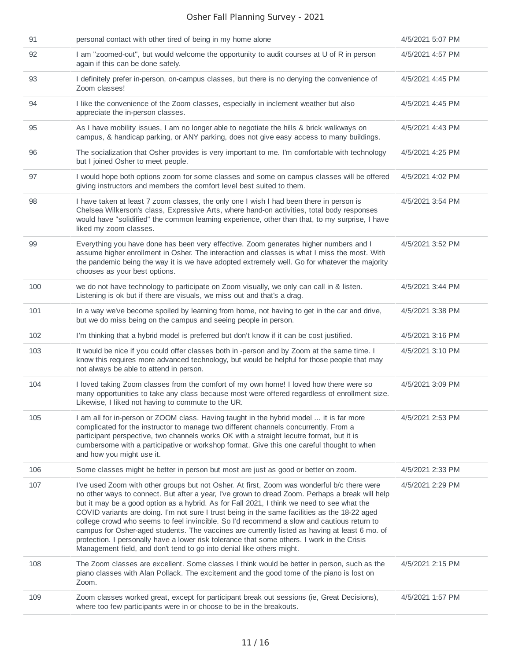| 91  | personal contact with other tired of being in my home alone                                                                                                                                                                                                                                                                                                                                                                                                                                                                                                                                                                                                                                                                                                          | 4/5/2021 5:07 PM |
|-----|----------------------------------------------------------------------------------------------------------------------------------------------------------------------------------------------------------------------------------------------------------------------------------------------------------------------------------------------------------------------------------------------------------------------------------------------------------------------------------------------------------------------------------------------------------------------------------------------------------------------------------------------------------------------------------------------------------------------------------------------------------------------|------------------|
| 92  | I am "zoomed-out", but would welcome the opportunity to audit courses at U of R in person<br>again if this can be done safely.                                                                                                                                                                                                                                                                                                                                                                                                                                                                                                                                                                                                                                       | 4/5/2021 4:57 PM |
| 93  | I definitely prefer in-person, on-campus classes, but there is no denying the convenience of<br>Zoom classes!                                                                                                                                                                                                                                                                                                                                                                                                                                                                                                                                                                                                                                                        | 4/5/2021 4:45 PM |
| 94  | I like the convenience of the Zoom classes, especially in inclement weather but also<br>appreciate the in-person classes.                                                                                                                                                                                                                                                                                                                                                                                                                                                                                                                                                                                                                                            | 4/5/2021 4:45 PM |
| 95  | As I have mobility issues, I am no longer able to negotiate the hills & brick walkways on<br>campus, & handicap parking, or ANY parking, does not give easy access to many buildings.                                                                                                                                                                                                                                                                                                                                                                                                                                                                                                                                                                                | 4/5/2021 4:43 PM |
| 96  | The socialization that Osher provides is very important to me. I'm comfortable with technology<br>but I joined Osher to meet people.                                                                                                                                                                                                                                                                                                                                                                                                                                                                                                                                                                                                                                 | 4/5/2021 4:25 PM |
| 97  | I would hope both options zoom for some classes and some on campus classes will be offered<br>giving instructors and members the comfort level best suited to them.                                                                                                                                                                                                                                                                                                                                                                                                                                                                                                                                                                                                  | 4/5/2021 4:02 PM |
| 98  | I have taken at least 7 zoom classes, the only one I wish I had been there in person is<br>Chelsea Wilkerson's class, Expressive Arts, where hand-on activities, total body responses<br>would have "solidified" the common learning experience, other than that, to my surprise, I have<br>liked my zoom classes.                                                                                                                                                                                                                                                                                                                                                                                                                                                   | 4/5/2021 3:54 PM |
| 99  | Everything you have done has been very effective. Zoom generates higher numbers and I<br>assume higher enrollment in Osher. The interaction and classes is what I miss the most. With<br>the pandemic being the way it is we have adopted extremely well. Go for whatever the majority<br>chooses as your best options.                                                                                                                                                                                                                                                                                                                                                                                                                                              | 4/5/2021 3:52 PM |
| 100 | we do not have technology to participate on Zoom visually, we only can call in & listen.<br>Listening is ok but if there are visuals, we miss out and that's a drag.                                                                                                                                                                                                                                                                                                                                                                                                                                                                                                                                                                                                 | 4/5/2021 3:44 PM |
| 101 | In a way we've become spoiled by learning from home, not having to get in the car and drive,<br>but we do miss being on the campus and seeing people in person.                                                                                                                                                                                                                                                                                                                                                                                                                                                                                                                                                                                                      | 4/5/2021 3:38 PM |
| 102 | I'm thinking that a hybrid model is preferred but don't know if it can be cost justified.                                                                                                                                                                                                                                                                                                                                                                                                                                                                                                                                                                                                                                                                            | 4/5/2021 3:16 PM |
| 103 | It would be nice if you could offer classes both in -person and by Zoom at the same time. I<br>know this requires more advanced technology, but would be helpful for those people that may<br>not always be able to attend in person.                                                                                                                                                                                                                                                                                                                                                                                                                                                                                                                                | 4/5/2021 3:10 PM |
| 104 | I loved taking Zoom classes from the comfort of my own home! I loved how there were so<br>many opportunities to take any class because most were offered regardless of enrollment size.<br>Likewise, I liked not having to commute to the UR.                                                                                                                                                                                                                                                                                                                                                                                                                                                                                                                        | 4/5/2021 3:09 PM |
| 105 | I am all for in-person or ZOOM class. Having taught in the hybrid model  it is far more<br>complicated for the instructor to manage two different channels concurrently. From a<br>participant perspective, two channels works OK with a straight lecutre format, but it is<br>cumbersome with a participative or workshop format. Give this one careful thought to when<br>and how you might use it.                                                                                                                                                                                                                                                                                                                                                                | 4/5/2021 2:53 PM |
| 106 | Some classes might be better in person but most are just as good or better on zoom.                                                                                                                                                                                                                                                                                                                                                                                                                                                                                                                                                                                                                                                                                  | 4/5/2021 2:33 PM |
| 107 | I've used Zoom with other groups but not Osher. At first, Zoom was wonderful b/c there were<br>no other ways to connect. But after a year, I've grown to dread Zoom. Perhaps a break will help<br>but it may be a good option as a hybrid. As for Fall 2021, I think we need to see what the<br>COVID variants are doing. I'm not sure I trust being in the same facilities as the 18-22 aged<br>college crowd who seems to feel invincible. So I'd recommend a slow and cautious return to<br>campus for Osher-aged students. The vaccines are currently listed as having at least 6 mo. of<br>protection. I personally have a lower risk tolerance that some others. I work in the Crisis<br>Management field, and don't tend to go into denial like others might. | 4/5/2021 2:29 PM |
| 108 | The Zoom classes are excellent. Some classes I think would be better in person, such as the<br>piano classes with Alan Pollack. The excitement and the good tome of the piano is lost on<br>Zoom.                                                                                                                                                                                                                                                                                                                                                                                                                                                                                                                                                                    | 4/5/2021 2:15 PM |
| 109 | Zoom classes worked great, except for participant break out sessions (ie, Great Decisions),<br>where too few participants were in or choose to be in the breakouts.                                                                                                                                                                                                                                                                                                                                                                                                                                                                                                                                                                                                  | 4/5/2021 1:57 PM |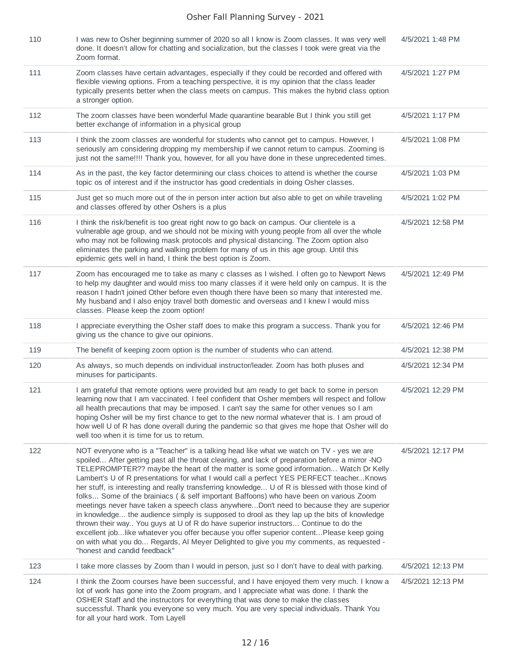| 110 | I was new to Osher beginning summer of 2020 so all I know is Zoom classes. It was very well<br>done. It doesn't allow for chatting and socialization, but the classes I took were great via the<br>Zoom format.                                                                                                                                                                                                                                                                                                                                                                                                                                                                                                                                                                                                                                                                                                                                                                                                                                                                      | 4/5/2021 1:48 PM  |
|-----|--------------------------------------------------------------------------------------------------------------------------------------------------------------------------------------------------------------------------------------------------------------------------------------------------------------------------------------------------------------------------------------------------------------------------------------------------------------------------------------------------------------------------------------------------------------------------------------------------------------------------------------------------------------------------------------------------------------------------------------------------------------------------------------------------------------------------------------------------------------------------------------------------------------------------------------------------------------------------------------------------------------------------------------------------------------------------------------|-------------------|
| 111 | Zoom classes have certain advantages, especially if they could be recorded and offered with<br>flexible viewing options. From a teaching perspective, it is my opinion that the class leader<br>typically presents better when the class meets on campus. This makes the hybrid class option<br>a stronger option.                                                                                                                                                                                                                                                                                                                                                                                                                                                                                                                                                                                                                                                                                                                                                                   | 4/5/2021 1:27 PM  |
| 112 | The zoom classes have been wonderful Made quarantine bearable But I think you still get<br>better exchange of information in a physical group                                                                                                                                                                                                                                                                                                                                                                                                                                                                                                                                                                                                                                                                                                                                                                                                                                                                                                                                        | 4/5/2021 1:17 PM  |
| 113 | I think the zoom classes are wonderful for students who cannot get to campus. However, I<br>seriously am considering dropping my membership if we cannot return to campus. Zooming is<br>just not the same!!!! Thank you, however, for all you have done in these unprecedented times.                                                                                                                                                                                                                                                                                                                                                                                                                                                                                                                                                                                                                                                                                                                                                                                               | 4/5/2021 1:08 PM  |
| 114 | As in the past, the key factor determining our class choices to attend is whether the course<br>topic os of interest and if the instructor has good credentials in doing Osher classes.                                                                                                                                                                                                                                                                                                                                                                                                                                                                                                                                                                                                                                                                                                                                                                                                                                                                                              | 4/5/2021 1:03 PM  |
| 115 | Just get so much more out of the in person inter action but also able to get on while traveling<br>and classes offered by other Oshers is a plus                                                                                                                                                                                                                                                                                                                                                                                                                                                                                                                                                                                                                                                                                                                                                                                                                                                                                                                                     | 4/5/2021 1:02 PM  |
| 116 | I think the risk/benefit is too great right now to go back on campus. Our clientele is a<br>vulnerable age group, and we should not be mixing with young people from all over the whole<br>who may not be following mask protocols and physical distancing. The Zoom option also<br>eliminates the parking and walking problem for many of us in this age group. Until this<br>epidemic gets well in hand, I think the best option is Zoom.                                                                                                                                                                                                                                                                                                                                                                                                                                                                                                                                                                                                                                          | 4/5/2021 12:58 PM |
| 117 | Zoom has encouraged me to take as many c classes as I wished. I often go to Newport News<br>to help my daughter and would miss too many classes if it were held only on campus. It is the<br>reason I hadn't joined Other before even though there have been so many that interested me.<br>My husband and I also enjoy travel both domestic and overseas and I knew I would miss<br>classes. Please keep the zoom option!                                                                                                                                                                                                                                                                                                                                                                                                                                                                                                                                                                                                                                                           | 4/5/2021 12:49 PM |
| 118 | I appreciate everything the Osher staff does to make this program a success. Thank you for<br>giving us the chance to give our opinions.                                                                                                                                                                                                                                                                                                                                                                                                                                                                                                                                                                                                                                                                                                                                                                                                                                                                                                                                             | 4/5/2021 12:46 PM |
| 119 | The benefit of keeping zoom option is the number of students who can attend.                                                                                                                                                                                                                                                                                                                                                                                                                                                                                                                                                                                                                                                                                                                                                                                                                                                                                                                                                                                                         | 4/5/2021 12:38 PM |
| 120 | As always, so much depends on individual instructor/leader. Zoom has both pluses and<br>minuses for participants.                                                                                                                                                                                                                                                                                                                                                                                                                                                                                                                                                                                                                                                                                                                                                                                                                                                                                                                                                                    | 4/5/2021 12:34 PM |
| 121 | I am grateful that remote options were provided but am ready to get back to some in person<br>learning now that I am vaccinated. I feel confident that Osher members will respect and follow<br>all health precautions that may be imposed. I can't say the same for other venues so I am<br>hoping Osher will be my first chance to get to the new normal whatever that is. I am proud of<br>how well U of R has done overall during the pandemic so that gives me hope that Osher will do<br>well too when it is time for us to return.                                                                                                                                                                                                                                                                                                                                                                                                                                                                                                                                            | 4/5/2021 12:29 PM |
| 122 | NOT everyone who is a "Teacher" is a talking head like what we watch on TV - yes we are<br>spoiled After getting past all the throat clearing, and lack of preparation before a mirror -NO<br>TELEPROMPTER?? maybe the heart of the matter is some good information Watch Dr Kelly<br>Lambert's U of R presentations for what I would call a perfect YES PERFECT teacherKnows<br>her stuff, is interesting and really transferring knowledge U of R is blessed with those kind of<br>folks Some of the brainiacs ( & self important Baffoons) who have been on various Zoom<br>meetings never have taken a speech class anywhere Don't need to because they are superior<br>in knowledge the audience simply is supposed to drool as they lap up the bits of knowledge<br>thrown their way You guys at U of R do have superior instructors Continue to do the<br>excellent joblike whatever you offer because you offer superior contentPlease keep going<br>on with what you do Regards, AI Meyer Delighted to give you my comments, as requested -<br>"honest and candid feedback" | 4/5/2021 12:17 PM |
| 123 | I take more classes by Zoom than I would in person, just so I don't have to deal with parking.                                                                                                                                                                                                                                                                                                                                                                                                                                                                                                                                                                                                                                                                                                                                                                                                                                                                                                                                                                                       | 4/5/2021 12:13 PM |
| 124 | I think the Zoom courses have been successful, and I have enjoyed them very much. I know a<br>lot of work has gone into the Zoom program, and I appreciate what was done. I thank the<br>OSHER Staff and the instructors for everything that was done to make the classes<br>successful. Thank you everyone so very much. You are very special individuals. Thank You<br>for all your hard work. Tom Layell                                                                                                                                                                                                                                                                                                                                                                                                                                                                                                                                                                                                                                                                          | 4/5/2021 12:13 PM |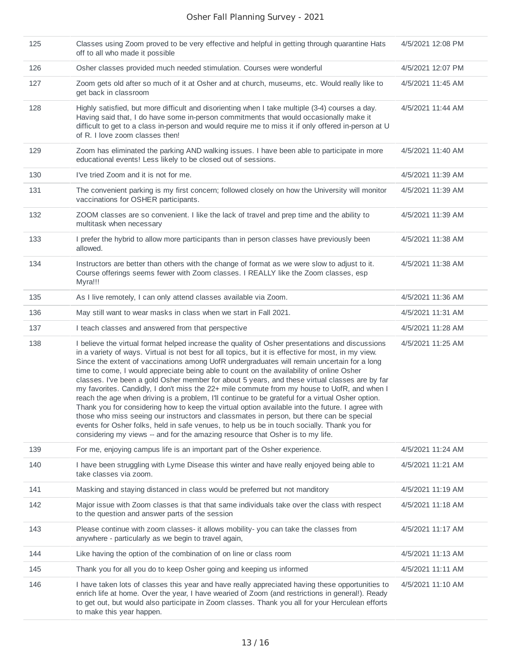| 125 | Classes using Zoom proved to be very effective and helpful in getting through quarantine Hats<br>off to all who made it possible                                                                                                                                                                                                                                                                                                                                                                                                                                                                                                                                                                                                                                                                                                                                                                                                                                                                                                                                                         | 4/5/2021 12:08 PM |
|-----|------------------------------------------------------------------------------------------------------------------------------------------------------------------------------------------------------------------------------------------------------------------------------------------------------------------------------------------------------------------------------------------------------------------------------------------------------------------------------------------------------------------------------------------------------------------------------------------------------------------------------------------------------------------------------------------------------------------------------------------------------------------------------------------------------------------------------------------------------------------------------------------------------------------------------------------------------------------------------------------------------------------------------------------------------------------------------------------|-------------------|
| 126 | Osher classes provided much needed stimulation. Courses were wonderful                                                                                                                                                                                                                                                                                                                                                                                                                                                                                                                                                                                                                                                                                                                                                                                                                                                                                                                                                                                                                   | 4/5/2021 12:07 PM |
| 127 | Zoom gets old after so much of it at Osher and at church, museums, etc. Would really like to<br>get back in classroom                                                                                                                                                                                                                                                                                                                                                                                                                                                                                                                                                                                                                                                                                                                                                                                                                                                                                                                                                                    | 4/5/2021 11:45 AM |
| 128 | Highly satisfied, but more difficult and disorienting when I take multiple (3-4) courses a day.<br>Having said that, I do have some in-person commitments that would occasionally make it<br>difficult to get to a class in-person and would require me to miss it if only offered in-person at U<br>of R. I love zoom classes then!                                                                                                                                                                                                                                                                                                                                                                                                                                                                                                                                                                                                                                                                                                                                                     | 4/5/2021 11:44 AM |
| 129 | Zoom has eliminated the parking AND walking issues. I have been able to participate in more<br>educational events! Less likely to be closed out of sessions.                                                                                                                                                                                                                                                                                                                                                                                                                                                                                                                                                                                                                                                                                                                                                                                                                                                                                                                             | 4/5/2021 11:40 AM |
| 130 | I've tried Zoom and it is not for me.                                                                                                                                                                                                                                                                                                                                                                                                                                                                                                                                                                                                                                                                                                                                                                                                                                                                                                                                                                                                                                                    | 4/5/2021 11:39 AM |
| 131 | The convenient parking is my first concern; followed closely on how the University will monitor<br>vaccinations for OSHER participants.                                                                                                                                                                                                                                                                                                                                                                                                                                                                                                                                                                                                                                                                                                                                                                                                                                                                                                                                                  | 4/5/2021 11:39 AM |
| 132 | ZOOM classes are so convenient. I like the lack of travel and prep time and the ability to<br>multitask when necessary                                                                                                                                                                                                                                                                                                                                                                                                                                                                                                                                                                                                                                                                                                                                                                                                                                                                                                                                                                   | 4/5/2021 11:39 AM |
| 133 | I prefer the hybrid to allow more participants than in person classes have previously been<br>allowed.                                                                                                                                                                                                                                                                                                                                                                                                                                                                                                                                                                                                                                                                                                                                                                                                                                                                                                                                                                                   | 4/5/2021 11:38 AM |
| 134 | Instructors are better than others with the change of format as we were slow to adjust to it.<br>Course offerings seems fewer with Zoom classes. I REALLY like the Zoom classes, esp<br>Myra!!!                                                                                                                                                                                                                                                                                                                                                                                                                                                                                                                                                                                                                                                                                                                                                                                                                                                                                          | 4/5/2021 11:38 AM |
| 135 | As I live remotely, I can only attend classes available via Zoom.                                                                                                                                                                                                                                                                                                                                                                                                                                                                                                                                                                                                                                                                                                                                                                                                                                                                                                                                                                                                                        | 4/5/2021 11:36 AM |
| 136 | May still want to wear masks in class when we start in Fall 2021.                                                                                                                                                                                                                                                                                                                                                                                                                                                                                                                                                                                                                                                                                                                                                                                                                                                                                                                                                                                                                        | 4/5/2021 11:31 AM |
| 137 | I teach classes and answered from that perspective                                                                                                                                                                                                                                                                                                                                                                                                                                                                                                                                                                                                                                                                                                                                                                                                                                                                                                                                                                                                                                       | 4/5/2021 11:28 AM |
| 138 | I believe the virtual format helped increase the quality of Osher presentations and discussions<br>in a variety of ways. Virtual is not best for all topics, but it is effective for most, in my view.<br>Since the extent of vaccinations among UofR undergraduates will remain uncertain for a long<br>time to come, I would appreciate being able to count on the availability of online Osher<br>classes. I've been a gold Osher member for about 5 years, and these virtual classes are by far<br>my favorites. Candidly, I don't miss the 22+ mile commute from my house to UofR, and when I<br>reach the age when driving is a problem, I'll continue to be grateful for a virtual Osher option.<br>Thank you for considering how to keep the virtual option available into the future. I agree with<br>those who miss seeing our instructors and classmates in person, but there can be special<br>events for Osher folks, held in safe venues, to help us be in touch socially. Thank you for<br>considering my views -- and for the amazing resource that Osher is to my life. | 4/5/2021 11:25 AM |
| 139 | For me, enjoying campus life is an important part of the Osher experience.                                                                                                                                                                                                                                                                                                                                                                                                                                                                                                                                                                                                                                                                                                                                                                                                                                                                                                                                                                                                               | 4/5/2021 11:24 AM |
| 140 | I have been struggling with Lyme Disease this winter and have really enjoyed being able to<br>take classes via zoom.                                                                                                                                                                                                                                                                                                                                                                                                                                                                                                                                                                                                                                                                                                                                                                                                                                                                                                                                                                     | 4/5/2021 11:21 AM |
| 141 | Masking and staying distanced in class would be preferred but not manditory                                                                                                                                                                                                                                                                                                                                                                                                                                                                                                                                                                                                                                                                                                                                                                                                                                                                                                                                                                                                              | 4/5/2021 11:19 AM |
| 142 | Major issue with Zoom classes is that that same individuals take over the class with respect<br>to the question and answer parts of the session                                                                                                                                                                                                                                                                                                                                                                                                                                                                                                                                                                                                                                                                                                                                                                                                                                                                                                                                          | 4/5/2021 11:18 AM |
| 143 | Please continue with zoom classes- it allows mobility-you can take the classes from<br>anywhere - particularly as we begin to travel again,                                                                                                                                                                                                                                                                                                                                                                                                                                                                                                                                                                                                                                                                                                                                                                                                                                                                                                                                              | 4/5/2021 11:17 AM |
| 144 | Like having the option of the combination of on line or class room                                                                                                                                                                                                                                                                                                                                                                                                                                                                                                                                                                                                                                                                                                                                                                                                                                                                                                                                                                                                                       | 4/5/2021 11:13 AM |
| 145 | Thank you for all you do to keep Osher going and keeping us informed                                                                                                                                                                                                                                                                                                                                                                                                                                                                                                                                                                                                                                                                                                                                                                                                                                                                                                                                                                                                                     | 4/5/2021 11:11 AM |
| 146 | I have taken lots of classes this year and have really appreciated having these opportunities to<br>enrich life at home. Over the year, I have wearied of Zoom (and restrictions in general!). Ready<br>to get out, but would also participate in Zoom classes. Thank you all for your Herculean efforts<br>to make this year happen.                                                                                                                                                                                                                                                                                                                                                                                                                                                                                                                                                                                                                                                                                                                                                    | 4/5/2021 11:10 AM |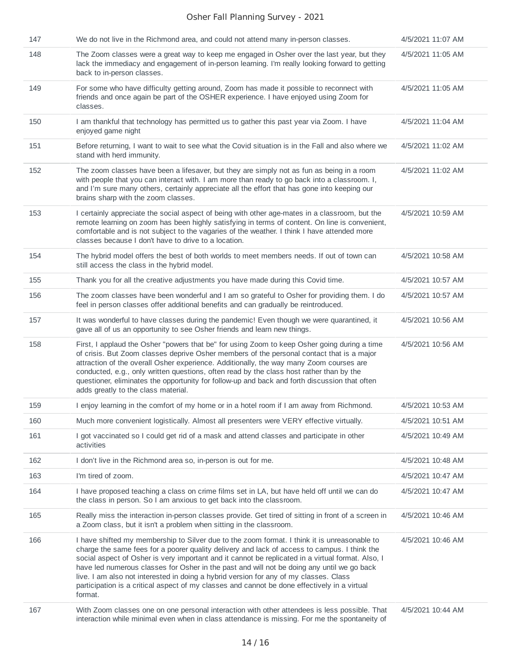| 147 | We do not live in the Richmond area, and could not attend many in-person classes.                                                                                                                                                                                                                                                                                                                                                                                                                                                                                                                   | 4/5/2021 11:07 AM |
|-----|-----------------------------------------------------------------------------------------------------------------------------------------------------------------------------------------------------------------------------------------------------------------------------------------------------------------------------------------------------------------------------------------------------------------------------------------------------------------------------------------------------------------------------------------------------------------------------------------------------|-------------------|
| 148 | The Zoom classes were a great way to keep me engaged in Osher over the last year, but they<br>lack the immediacy and engagement of in-person learning. I'm really looking forward to getting<br>back to in-person classes.                                                                                                                                                                                                                                                                                                                                                                          | 4/5/2021 11:05 AM |
| 149 | For some who have difficulty getting around, Zoom has made it possible to reconnect with<br>friends and once again be part of the OSHER experience. I have enjoyed using Zoom for<br>classes.                                                                                                                                                                                                                                                                                                                                                                                                       | 4/5/2021 11:05 AM |
| 150 | I am thankful that technology has permitted us to gather this past year via Zoom. I have<br>enjoyed game night                                                                                                                                                                                                                                                                                                                                                                                                                                                                                      | 4/5/2021 11:04 AM |
| 151 | Before returning, I want to wait to see what the Covid situation is in the Fall and also where we<br>stand with herd immunity.                                                                                                                                                                                                                                                                                                                                                                                                                                                                      | 4/5/2021 11:02 AM |
| 152 | The zoom classes have been a lifesaver, but they are simply not as fun as being in a room<br>with people that you can interact with. I am more than ready to go back into a classroom. I,<br>and I'm sure many others, certainly appreciate all the effort that has gone into keeping our<br>brains sharp with the zoom classes.                                                                                                                                                                                                                                                                    | 4/5/2021 11:02 AM |
| 153 | I certainly appreciate the social aspect of being with other age-mates in a classroom, but the<br>remote learning on zoom has been highly satisfying in terms of content. On line is convenient,<br>comfortable and is not subject to the vagaries of the weather. I think I have attended more<br>classes because I don't have to drive to a location.                                                                                                                                                                                                                                             | 4/5/2021 10:59 AM |
| 154 | The hybrid model offers the best of both worlds to meet members needs. If out of town can<br>still access the class in the hybrid model.                                                                                                                                                                                                                                                                                                                                                                                                                                                            | 4/5/2021 10:58 AM |
| 155 | Thank you for all the creative adjustments you have made during this Covid time.                                                                                                                                                                                                                                                                                                                                                                                                                                                                                                                    | 4/5/2021 10:57 AM |
| 156 | The zoom classes have been wonderful and I am so grateful to Osher for providing them. I do<br>feel in person classes offer additional benefits and can gradually be reintroduced.                                                                                                                                                                                                                                                                                                                                                                                                                  | 4/5/2021 10:57 AM |
| 157 | It was wonderful to have classes during the pandemic! Even though we were quarantined, it<br>gave all of us an opportunity to see Osher friends and learn new things.                                                                                                                                                                                                                                                                                                                                                                                                                               | 4/5/2021 10:56 AM |
| 158 | First, I applaud the Osher "powers that be" for using Zoom to keep Osher going during a time<br>of crisis. But Zoom classes deprive Osher members of the personal contact that is a major<br>attraction of the overall Osher experience. Additionally, the way many Zoom courses are<br>conducted, e.g., only written questions, often read by the class host rather than by the<br>questioner, eliminates the opportunity for follow-up and back and forth discussion that often<br>adds greatly to the class material.                                                                            | 4/5/2021 10:56 AM |
| 159 | I enjoy learning in the comfort of my home or in a hotel room if I am away from Richmond.                                                                                                                                                                                                                                                                                                                                                                                                                                                                                                           | 4/5/2021 10:53 AM |
| 160 | Much more convenient logistically. Almost all presenters were VERY effective virtually.                                                                                                                                                                                                                                                                                                                                                                                                                                                                                                             | 4/5/2021 10:51 AM |
| 161 | I got vaccinated so I could get rid of a mask and attend classes and participate in other<br>activities                                                                                                                                                                                                                                                                                                                                                                                                                                                                                             | 4/5/2021 10:49 AM |
| 162 | I don't live in the Richmond area so, in-person is out for me.                                                                                                                                                                                                                                                                                                                                                                                                                                                                                                                                      | 4/5/2021 10:48 AM |
| 163 | I'm tired of zoom.                                                                                                                                                                                                                                                                                                                                                                                                                                                                                                                                                                                  | 4/5/2021 10:47 AM |
| 164 | I have proposed teaching a class on crime films set in LA, but have held off until we can do<br>the class in person. So I am anxious to get back into the classroom.                                                                                                                                                                                                                                                                                                                                                                                                                                | 4/5/2021 10:47 AM |
| 165 | Really miss the interaction in-person classes provide. Get tired of sitting in front of a screen in<br>a Zoom class, but it isn't a problem when sitting in the classroom.                                                                                                                                                                                                                                                                                                                                                                                                                          | 4/5/2021 10:46 AM |
| 166 | I have shifted my membership to Silver due to the zoom format. I think it is unreasonable to<br>charge the same fees for a poorer quality delivery and lack of access to campus. I think the<br>social aspect of Osher is very important and it cannot be replicated in a virtual format. Also, I<br>have led numerous classes for Osher in the past and will not be doing any until we go back<br>live. I am also not interested in doing a hybrid version for any of my classes. Class<br>participation is a critical aspect of my classes and cannot be done effectively in a virtual<br>format. | 4/5/2021 10:46 AM |
| 167 | With Zoom classes one on one personal interaction with other attendees is less possible. That<br>interaction while minimal even when in class attendance is missing. For me the spontaneity of                                                                                                                                                                                                                                                                                                                                                                                                      | 4/5/2021 10:44 AM |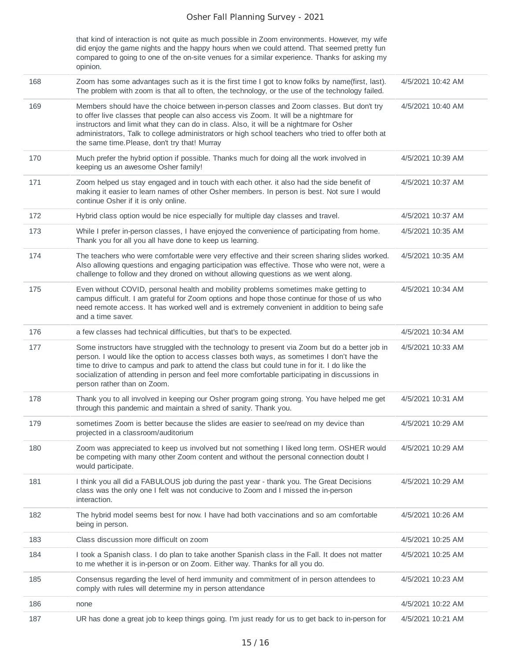|     | that kind of interaction is not quite as much possible in Zoom environments. However, my wife<br>did enjoy the game nights and the happy hours when we could attend. That seemed pretty fun<br>compared to going to one of the on-site venues for a similar experience. Thanks for asking my<br>opinion.                                                                                                                            |                   |
|-----|-------------------------------------------------------------------------------------------------------------------------------------------------------------------------------------------------------------------------------------------------------------------------------------------------------------------------------------------------------------------------------------------------------------------------------------|-------------------|
| 168 | Zoom has some advantages such as it is the first time I got to know folks by name(first, last).<br>The problem with zoom is that all to often, the technology, or the use of the technology failed.                                                                                                                                                                                                                                 | 4/5/2021 10:42 AM |
| 169 | Members should have the choice between in-person classes and Zoom classes. But don't try<br>to offer live classes that people can also access vis Zoom. It will be a nightmare for<br>instructors and limit what they can do in class. Also, it will be a nightmare for Osher<br>administrators, Talk to college administrators or high school teachers who tried to offer both at<br>the same time. Please, don't try that! Murray | 4/5/2021 10:40 AM |
| 170 | Much prefer the hybrid option if possible. Thanks much for doing all the work involved in<br>keeping us an awesome Osher family!                                                                                                                                                                                                                                                                                                    | 4/5/2021 10:39 AM |
| 171 | Zoom helped us stay engaged and in touch with each other. it also had the side benefit of<br>making it easier to learn names of other Osher members. In person is best. Not sure I would<br>continue Osher if it is only online.                                                                                                                                                                                                    | 4/5/2021 10:37 AM |
| 172 | Hybrid class option would be nice especially for multiple day classes and travel.                                                                                                                                                                                                                                                                                                                                                   | 4/5/2021 10:37 AM |
| 173 | While I prefer in-person classes, I have enjoyed the convenience of participating from home.<br>Thank you for all you all have done to keep us learning.                                                                                                                                                                                                                                                                            | 4/5/2021 10:35 AM |
| 174 | The teachers who were comfortable were very effective and their screen sharing slides worked.<br>Also allowing questions and engaging participation was effective. Those who were not, were a<br>challenge to follow and they droned on without allowing questions as we went along.                                                                                                                                                | 4/5/2021 10:35 AM |
| 175 | Even without COVID, personal health and mobility problems sometimes make getting to<br>campus difficult. I am grateful for Zoom options and hope those continue for those of us who<br>need remote access. It has worked well and is extremely convenient in addition to being safe<br>and a time saver.                                                                                                                            | 4/5/2021 10:34 AM |
| 176 | a few classes had technical difficulties, but that's to be expected.                                                                                                                                                                                                                                                                                                                                                                | 4/5/2021 10:34 AM |
| 177 | Some instructors have struggled with the technology to present via Zoom but do a better job in<br>person. I would like the option to access classes both ways, as sometimes I don't have the<br>time to drive to campus and park to attend the class but could tune in for it. I do like the<br>socialization of attending in person and feel more comfortable participating in discussions in<br>person rather than on Zoom.       | 4/5/2021 10:33 AM |
| 178 | Thank you to all involved in keeping our Osher program going strong. You have helped me get<br>through this pandemic and maintain a shred of sanity. Thank you.                                                                                                                                                                                                                                                                     | 4/5/2021 10:31 AM |
| 179 | sometimes Zoom is better because the slides are easier to see/read on my device than<br>projected in a classroom/auditorium                                                                                                                                                                                                                                                                                                         | 4/5/2021 10:29 AM |
| 180 | Zoom was appreciated to keep us involved but not something I liked long term. OSHER would<br>be competing with many other Zoom content and without the personal connection doubt I<br>would participate.                                                                                                                                                                                                                            | 4/5/2021 10:29 AM |
| 181 | I think you all did a FABULOUS job during the past year - thank you. The Great Decisions<br>class was the only one I felt was not conducive to Zoom and I missed the in-person<br>interaction.                                                                                                                                                                                                                                      | 4/5/2021 10:29 AM |
| 182 | The hybrid model seems best for now. I have had both vaccinations and so am comfortable<br>being in person.                                                                                                                                                                                                                                                                                                                         | 4/5/2021 10:26 AM |
| 183 | Class discussion more difficult on zoom                                                                                                                                                                                                                                                                                                                                                                                             | 4/5/2021 10:25 AM |
| 184 | I took a Spanish class. I do plan to take another Spanish class in the Fall. It does not matter<br>to me whether it is in-person or on Zoom. Either way. Thanks for all you do.                                                                                                                                                                                                                                                     | 4/5/2021 10:25 AM |
| 185 | Consensus regarding the level of herd immunity and commitment of in person attendees to<br>comply with rules will determine my in person attendance                                                                                                                                                                                                                                                                                 | 4/5/2021 10:23 AM |
| 186 | none                                                                                                                                                                                                                                                                                                                                                                                                                                | 4/5/2021 10:22 AM |

187 UR has done a great job to keep things going. I'm just ready for us to get back to in-person for 4/5/2021 10:21 AM